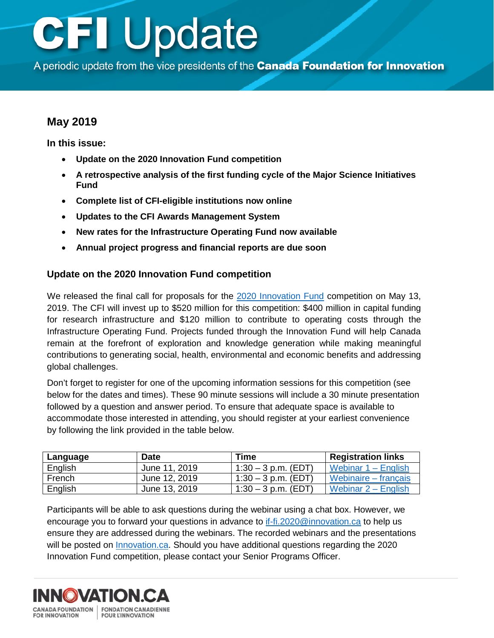# **CFI Update**

A periodic update from the vice presidents of the Canada Foundation for Innovation

# **May 2019**

**In this issue:**

- **Update on the 2020 Innovation Fund competition**
- **A [retrospective analysis of the first funding cycle of the Major Science Initiatives](#page-1-0) Fund**
- **[Complete list of CFI-eligible institutions](#page-1-0) now online**
- **[Updates to the CFI Awards](#page-1-0) Management System**
- **[New rates for the Infrastructure Operating Fund](#page-2-0) now available**
- **Annual project progress and financial [reports are due soon](#page-2-0)**

### **Update on the 2020 Innovation Fund competition**

We released the final call for proposals for the [2020 Innovation Fund](https://www.innovation.ca/awards/innovation-fund) competition on May 13, 2019. The CFI will invest up to \$520 million for this competition: \$400 million in capital funding for research infrastructure and \$120 million to contribute to operating costs through the Infrastructure Operating Fund. Projects funded through the Innovation Fund will help Canada remain at the forefront of exploration and knowledge generation while making meaningful contributions to generating social, health, environmental and economic benefits and addressing global challenges.

Don't forget to register for one of the upcoming information sessions for this competition (see below for the dates and times). These 90 minute sessions will include a 30 minute presentation followed by a question and answer period. To ensure that adequate space is available to accommodate those interested in attending, you should register at your earliest convenience by following the link provided in the table below.

| Language | <b>Date</b>   | <b>Time</b>           | <b>Registration links</b> |
|----------|---------------|-----------------------|---------------------------|
| English  | June 11, 2019 | $1:30 - 3$ p.m. (EDT) | Webinar $1 -$ English     |
| French   | June 12, 2019 | $1:30 - 3$ p.m. (EDT) | Webinaire – français      |
| English  | June 13, 2019 | $1:30 - 3$ p.m. (EDT) | Webinar $2 -$ English     |

Participants will be able to ask questions during the webinar using a chat box. However, we encourage you to forward your questions in advance to [if-fi.2020@innovation.ca](mailto:if-fi.2020@innovation.ca.ca) to help us ensure they are addressed during the webinars. The recorded webinars and the presentations will be posted on [Innovation.ca.](https://www.innovation.ca/awards/innovation-fund) Should you have additional questions regarding the 2020 Innovation Fund competition, please contact your Senior Programs Officer.

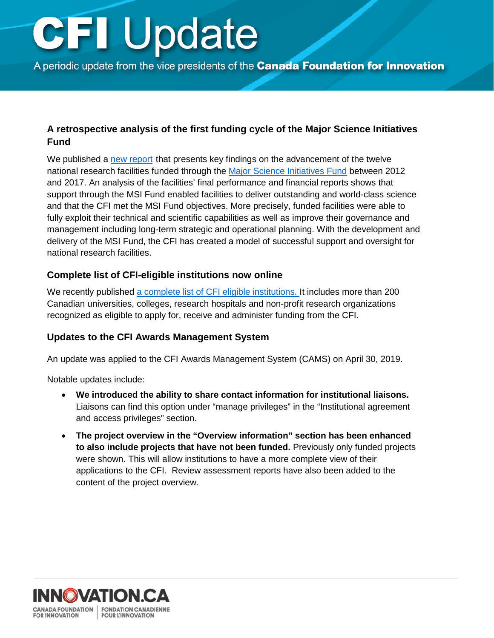# <span id="page-1-0"></span>**CFI Update**

A periodic update from the vice presidents of the **Canada Foundation for Innovation** 

## **A retrospective analysis of the first funding cycle of the Major Science Initiatives Fund**

We published a [new report](https://www.innovation.ca/about/news/report-highlights-impact-program-fund-canadas-nationally-significant-research-facilities) that presents key findings on the advancement of the twelve national research facilities funded through the [Major Science Initiatives Fund](https://www.innovation.ca/awards/major-science-initiatives-fund) between 2012 and 2017. An analysis of the facilities' final performance and financial reports shows that support through the MSI Fund enabled facilities to deliver outstanding and world-class science and that the CFI met the MSI Fund objectives. More precisely, funded facilities were able to fully exploit their technical and scientific capabilities as well as improve their governance and management including long-term strategic and operational planning. With the development and delivery of the MSI Fund, the CFI has created a model of successful support and oversight for national research facilities.

## **Complete list of CFI-eligible institutions now online**

We recently published [a complete list of CFI eligible institutions. I](https://www.innovation.ca/list-eligible-institutions-0)t includes more than 200 Canadian universities, colleges, research hospitals and non-profit research organizations recognized as eligible to apply for, receive and administer funding from the CFI.

### **Updates to the CFI Awards Management System**

An update was applied to the CFI Awards Management System (CAMS) on April 30, 2019.

Notable updates include:

- **We introduced the ability to share contact information for institutional liaisons.** Liaisons can find this option under "manage privileges" in the "Institutional agreement and access privileges" section.
- **The project overview in the "Overview information" section has been enhanced to also include projects that have not been funded.** Previously only funded projects were shown. This will allow institutions to have a more complete view of their applications to the CFI. Review assessment reports have also been added to the content of the project overview.